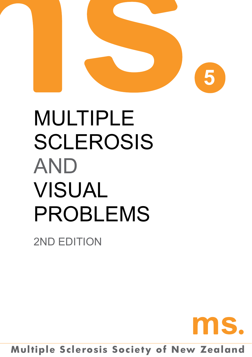

# MULTIPLE sclerosis **AND** VISUAL PROBLEMS

2ND EDITION



# **Multiple Sclerosis Society of New Zealand**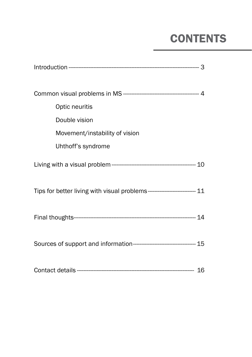# **CONTENTS**

| Optic neuritis                                                            |  |  |  |
|---------------------------------------------------------------------------|--|--|--|
| Double vision                                                             |  |  |  |
| Movement/instability of vision                                            |  |  |  |
| Uhthoff's syndrome                                                        |  |  |  |
|                                                                           |  |  |  |
| Tips for better living with visual problems--------------------------- 11 |  |  |  |
|                                                                           |  |  |  |
|                                                                           |  |  |  |
|                                                                           |  |  |  |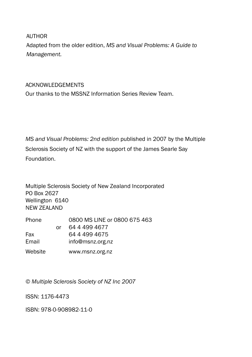AUTHOR

Adapted from the older edition, *MS and Visual Problems: A Guide to Management.*

#### Acknowledgements

Our thanks to the MSSNZ Information Series Review Team.

*MS and Visual Problems: 2nd edition* published in 2007 by the Multiple Sclerosis Society of NZ with the support of the James Searle Say Foundation.

Multiple Sclerosis Society of New Zealand Incorporated PO Box 2627 Wellington 6140 NEW ZEALAND

| Phone   |    | 0800 MS LINE or 0800 675 463 |
|---------|----|------------------------------|
|         | Ωr | 64 4 4 9 4 6 7 7             |
| Fax     |    | 64 4 499 4675                |
| Email   |    | info@msnz.org.nz             |
| Website |    | www.msnz.org.nz              |

*© Multiple Sclerosis Society of NZ Inc 2007*

ISSN: 1176-4473

ISBN: 978-0-908982-11-0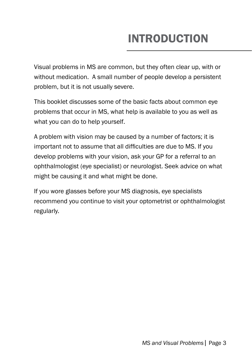# INTRODUCTION

Visual problems in MS are common, but they often clear up, with or without medication. A small number of people develop a persistent problem, but it is not usually severe.

This booklet discusses some of the basic facts about common eye problems that occur in MS, what help is available to you as well as what you can do to help yourself.

A problem with vision may be caused by a number of factors; it is important not to assume that all difficulties are due to MS. If you develop problems with your vision, ask your GP for a referral to an ophthalmologist (eye specialist) or neurologist. Seek advice on what might be causing it and what might be done.

If you wore glasses before your MS diagnosis, eye specialists recommend you continue to visit your optometrist or ophthalmologist regularly.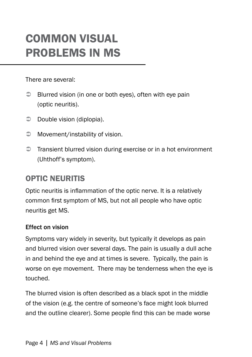# COMMON VISUAL PROBLEMS IN MS

There are several:

- $\supset$  Blurred vision (in one or both eyes), often with eye pain (optic neuritis).
- $\supset$  Double vision (diplopia).
- $\supset$  Movement/instability of vision.
- $\supset$  Transient blurred vision during exercise or in a hot environment (Uhthoff's symptom).

# OPTIC NEURITIS

Optic neuritis is inflammation of the optic nerve. It is a relatively common first symptom of MS, but not all people who have optic neuritis get MS.

### Effect on vision

Symptoms vary widely in severity, but typically it develops as pain and blurred vision over several days. The pain is usually a dull ache in and behind the eye and at times is severe. Typically, the pain is worse on eye movement. There may be tenderness when the eye is touched.

The blurred vision is often described as a black spot in the middle of the vision (e.g. the centre of someone's face might look blurred and the outline clearer). Some people find this can be made worse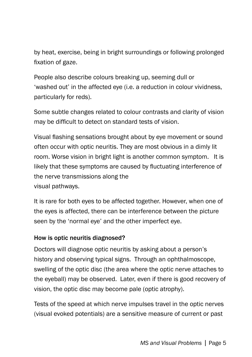by heat, exercise, being in bright surroundings or following prolonged fixation of gaze.

People also describe colours breaking up, seeming dull or 'washed out' in the affected eye (i.e. a reduction in colour vividness, particularly for reds).

Some subtle changes related to colour contrasts and clarity of vision may be difficult to detect on standard tests of vision.

Visual flashing sensations brought about by eye movement or sound often occur with optic neuritis. They are most obvious in a dimly lit room. Worse vision in bright light is another common symptom. It is likely that these symptoms are caused by fluctuating interference of the nerve transmissions along the visual pathways.

It is rare for both eyes to be affected together. However, when one of the eyes is affected, there can be interference between the picture seen by the 'normal eye' and the other imperfect eye.

#### How is optic neuritis diagnosed?

Doctors will diagnose optic neuritis by asking about a person's history and observing typical signs. Through an ophthalmoscope, swelling of the optic disc (the area where the optic nerve attaches to the eyeball) may be observed. Later, even if there is good recovery of vision, the optic disc may become pale (optic atrophy).

Tests of the speed at which nerve impulses travel in the optic nerves (visual evoked potentials) are a sensitive measure of current or past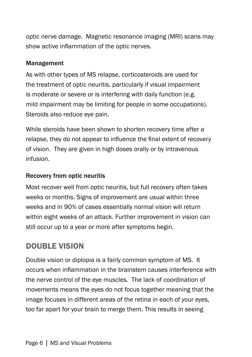optic nerve damage. Magnetic resonance imaging (MRI) scans may show active inflammation of the optic nerves.

#### Management

As with other types of MS relapse, corticosteroids are used for the treatment of optic neuritis, particularly if visual impairment is moderate or severe or is interfering with daily function (e.g. mild impairment may be limiting for people in some occupations). Steroids also reduce eye pain.

While steroids have been shown to shorten recovery time after a relapse, they do not appear to influence the final extent of recovery of vision. They are given in high doses orally or by intravenous infusion.

### Recovery from optic neuritis

Most recover well from optic neuritis, but full recovery often takes weeks or months. Signs of improvement are usual within three weeks and in 90% of cases essentially normal vision will return within eight weeks of an attack. Further improvement in vision can still occur up to a year or more after symptoms begin.

# Double Vision

Double vision or diplopia is a fairly common symptom of MS. It occurs when inflammation in the brainstem causes interference with the nerve control of the eye muscles. The lack of coordination of movements means the eyes do not focus together meaning that the image focuses in different areas of the retina in each of your eyes, too far apart for your brain to merge them. This results in seeing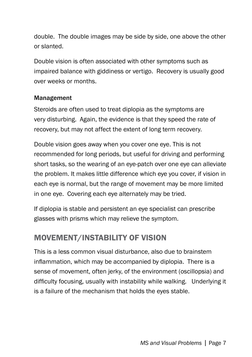double. The double images may be side by side, one above the other or slanted.

Double vision is often associated with other symptoms such as impaired balance with giddiness or vertigo. Recovery is usually good over weeks or months.

#### Management

Steroids are often used to treat diplopia as the symptoms are very disturbing. Again, the evidence is that they speed the rate of recovery, but may not affect the extent of long term recovery.

Double vision goes away when you cover one eye. This is not recommended for long periods, but useful for driving and performing short tasks, so the wearing of an eye-patch over one eye can alleviate the problem. It makes little difference which eye you cover, if vision in each eye is normal, but the range of movement may be more limited in one eye. Covering each eye alternately may be tried.

If diplopia is stable and persistent an eye specialist can prescribe glasses with prisms which may relieve the symptom.

# MOVEMENT/INSTABILITY OF VISION

This is a less common visual disturbance, also due to brainstem inflammation, which may be accompanied by diplopia. There is a sense of movement, often jerky, of the environment (oscillopsia) and difficulty focusing, usually with instability while walking. Underlying it is a failure of the mechanism that holds the eyes stable.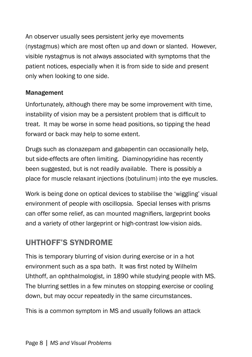An observer usually sees persistent jerky eye movements (nystagmus) which are most often up and down or slanted. However, visible nystagmus is not always associated with symptoms that the patient notices, especially when it is from side to side and present only when looking to one side.

### Management

Unfortunately, although there may be some improvement with time, instability of vision may be a persistent problem that is difficult to treat. It may be worse in some head positions, so tipping the head forward or back may help to some extent.

Drugs such as clonazepam and gabapentin can occasionally help, but side-effects are often limiting. Diaminopyridine has recently been suggested, but is not readily available. There is possibly a place for muscle relaxant injections (botulinum) into the eye muscles.

Work is being done on optical devices to stabilise the 'wiggling' visual environment of people with oscillopsia. Special lenses with prisms can offer some relief, as can mounted magnifiers, largeprint books and a variety of other largeprint or high-contrast low-vision aids.

# UHTHOFF'S SYNDROME

This is temporary blurring of vision during exercise or in a hot environment such as a spa bath. It was first noted by Wilhelm Uhthoff, an ophthalmologist, in 1890 while studying people with MS. The blurring settles in a few minutes on stopping exercise or cooling down, but may occur repeatedly in the same circumstances.

This is a common symptom in MS and usually follows an attack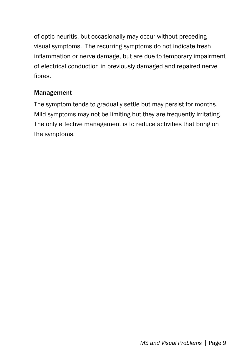of optic neuritis, but occasionally may occur without preceding visual symptoms. The recurring symptoms do not indicate fresh inflammation or nerve damage, but are due to temporary impairment of electrical conduction in previously damaged and repaired nerve fibres.

#### Management

The symptom tends to gradually settle but may persist for months. Mild symptoms may not be limiting but they are frequently irritating. The only effective management is to reduce activities that bring on the symptoms.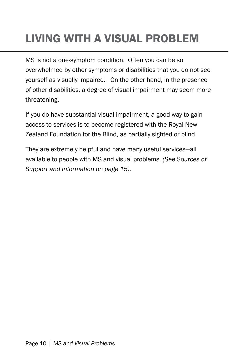# LIVING WITH A VISUAL PROBLEM

MS is not a one-symptom condition. Often you can be so overwhelmed by other symptoms or disabilities that you do not see yourself as visually impaired. On the other hand, in the presence of other disabilities, a degree of visual impairment may seem more threatening.

If you do have substantial visual impairment, a good way to gain access to services is to become registered with the Royal New Zealand Foundation for the Blind, as partially sighted or blind.

They are extremely helpful and have many useful services—all available to people with MS and visual problems. *(See Sources of Support and Information on page 15).*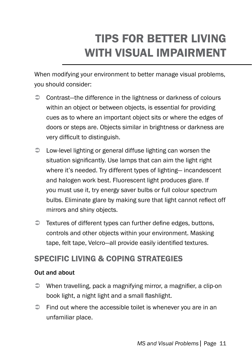# Tips for better Living with Visual impairment

When modifying your environment to better manage visual problems, you should consider:

- Contrast—the difference in the lightness or darkness of colours within an object or between objects, is essential for providing cues as to where an important object sits or where the edges of doors or steps are. Objects similar in brightness or darkness are very difficult to distinguish.
- Low-level lighting or general diffuse lighting can worsen the situation significantly. Use lamps that can aim the light right where it's needed. Try different types of lighting— incandescent and halogen work best. Fluorescent light produces glare. If you must use it, try energy saver bulbs or full colour spectrum bulbs. Eliminate glare by making sure that light cannot reflect off mirrors and shiny objects.
- $\supset$  Textures of different types can further define edges, buttons, controls and other objects within your environment. Masking tape, felt tape, Velcro—all provide easily identified textures.

### Specific living & coping strategies

#### Out and about

- When travelling, pack a magnifying mirror, a magnifier, a clip-on book light, a night light and a small flashlight.
- $\supset$  Find out where the accessible toilet is whenever you are in an unfamiliar place.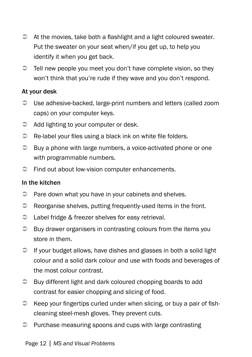- $\Rightarrow$  At the movies, take both a flashlight and a light coloured sweater. Put the sweater on your seat when/if you get up, to help you identify it when you get back.
- $\supset$  Tell new people you meet you don't have complete vision, so they won't think that you're rude if they wave and you don't respond.

#### At your desk

- Use adhesive-backed, large-print numbers and letters (called zoom caps) on your computer keys.
- $\Rightarrow$  Add lighting to your computer or desk.
- $\Rightarrow$  Re-label your files using a black ink on white file folders.
- $\supset$  Buy a phone with large numbers, a voice-activated phone or one with programmable numbers.
- $\supset$  Find out about low-vision computer enhancements.

#### In the kitchen

- $\supset$  Pare down what you have in your cabinets and shelves.
- $\supset$  Reorganise shelves, putting frequently-used items in the front.
- $\supset$  Label fridge & freezer shelves for easy retrieval.
- $\supset$  Buy drawer organisers in contrasting colours from the items you store in them.
- $\supset$  If your budget allows, have dishes and glasses in both a solid light colour and a solid dark colour and use with foods and beverages of the most colour contrast.
- **Buy different light and dark coloured chopping boards to add** contrast for easier chopping and slicing of food.
- $\Rightarrow$  Keep your fingertips curled under when slicing, or buy a pair of fishcleaning steel-mesh gloves. They prevent cuts.
- $\supset$  Purchase measuring spoons and cups with large contrasting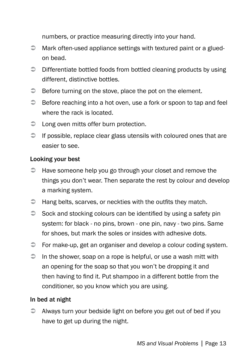numbers, or practice measuring directly into your hand.

- $\supset$  Mark often-used appliance settings with textured paint or a gluedon bead.
- $\supset$  Differentiate bottled foods from bottled cleaning products by using different, distinctive bottles.
- $\supset$  Before turning on the stove, place the pot on the element.
- $\supset$  Before reaching into a hot oven, use a fork or spoon to tap and feel where the rack is located.
- $\supset$  Long oven mitts offer burn protection.
- $\supset$  If possible, replace clear glass utensils with coloured ones that are easier to see.

#### Looking your best

- $\Rightarrow$  Have someone help you go through your closet and remove the things you don't wear. Then separate the rest by colour and develop a marking system.
- $\supset$  Hang belts, scarves, or neckties with the outfits they match.
- $\supset$  Sock and stocking colours can be identified by using a safety pin system: for black - no pins, brown - one pin, navy - two pins. Same for shoes, but mark the soles or insides with adhesive dots.
- For make-up, get an organiser and develop a colour coding system.
- $\supset$  In the shower, soap on a rope is helpful, or use a wash mitt with an opening for the soap so that you won't be dropping it and then having to find it. Put shampoo in a different bottle from the conditioner, so you know which you are using.

### In bed at night

 $\supset$  Always turn your bedside light on before you get out of bed if you have to get up during the night.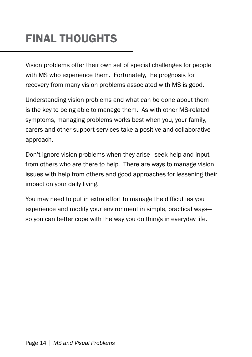# FINAL THOUGHTS

Vision problems offer their own set of special challenges for people with MS who experience them. Fortunately, the prognosis for recovery from many vision problems associated with MS is good.

Understanding vision problems and what can be done about them is the key to being able to manage them. As with other MS-related symptoms, managing problems works best when you, your family, carers and other support services take a positive and collaborative approach.

Don't ignore vision problems when they arise—seek help and input from others who are there to help. There are ways to manage vision issues with help from others and good approaches for lessening their impact on your daily living.

You may need to put in extra effort to manage the difficulties you experience and modify your environment in simple, practical ways so you can better cope with the way you do things in everyday life.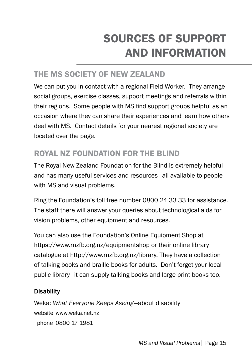# sources of support and information

# the ms society of NEW Zealand

We can put you in contact with a regional Field Worker. They arrange social groups, exercise classes, support meetings and referrals within their regions. Some people with MS find support groups helpful as an occasion where they can share their experiences and learn how others deal with MS. Contact details for your nearest regional society are located over the page.

# ROYAL NZ Foundation for the blind

The Royal New Zealand Foundation for the Blind is extremely helpful and has many useful services and resources—all available to people with MS and visual problems.

Ring the Foundation's toll free number 0800 24 33 33 for assistance. The staff there will answer your queries about technological aids for vision problems, other equipment and resources.

You can also use the Foundation's Online Equipment Shop at https://www.rnzfb.org.nz/equipmentshop or their online library catalogue at http://www.rnzfb.org.nz/library. They have a collection of talking books and braille books for adults. Don't forget your local public library—it can supply talking books and large print books too.

#### **Disability**

Weka: *What Everyone Keeps Asking*—about disability website www.weka.net.nz phone 0800 17 1981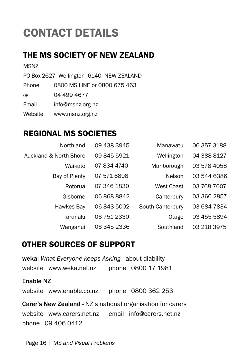# CONTACT DETAILS

### the ms society of NEW Zealand

MSNZ

PO Box 2627 Wellington 6140 NEW ZEALAND

Phone 0800 MS LINE or 0800 675 463

or 04 499 4677

Email info@msnz.org.nz

Website www.msnz.org.nz

### REGIONAL MS SOCIETIES

| Northland              | 09 438 3945 | Manawatu          | 06 357 3188 |
|------------------------|-------------|-------------------|-------------|
| Auckland & North Shore | 09 845 5921 | Wellington        | 04 388 8127 |
| Waikato                | 07 834 4740 | Marlborough       | 03 578 4058 |
| Bay of Plenty          | 07 571 6898 | Nelson            | 03 544 6386 |
| Rotorua                | 07 346 1830 | <b>West Coast</b> | 03 768 7007 |
| Gisborne               | 068688842   | Canterbury        | 03 366 2857 |
| Hawkes Bay             | 06 843 5002 | South Canterbury  | 03 684 7834 |
| Taranaki               | 06 751 2330 | Otago             | 03 455 5894 |
| Wanganui               | 06 345 2336 | Southland         | 03 218 3975 |

### OTHER SOURCES OF SUPPORT

weka: *What Everyone keeps Asking* - about diability website www.weka.net.nz phone 0800 17 1981

#### Enable NZ

website www.enable.co.nz phone 0800 362 253

Carer's New Zealand - NZ's national organisation for carers website www.carers.net.nz email info@carers.net.nz phone 09 406 0412